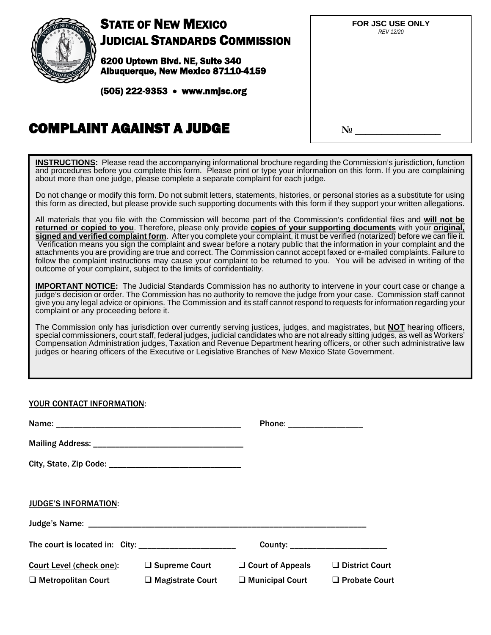

# STATE OF NEW MEXICO JUDICIAL STANDARDS COMMISSION

6200 Uptown Blvd. NE, Suite 340 Albuquerque, New Mexico 87110-4159

(505) 222-9353 • www.nmjsc.org

| Ń | FOR JSC USE ONLY<br><b>REV 12/20</b> |
|---|--------------------------------------|
|   |                                      |
|   | N <sub>0</sub>                       |

# COMPLAINT AGAINST A JUDGE

**INSTRUCTIONS:** Please read the accompanying informational brochure regarding the Commission's jurisdiction, function and procedures before you complete this form. Please print or type your information on this form. If you are complaining about more than one judge, please complete a separate complaint for each judge.

Do not change or modify this form. Do not submit letters, statements, histories, or personal stories as a substitute for using this form as directed, but please provide such supporting documents with this form if they support your written allegations.

All materials that you file with the Commission will become part of the Commission's confidential files and **will not be returned or copied to you**. Therefore, please only provide **copies of your supporting documents** with your **original, signed and verified complaint form**. After you complete your complaint, it must be verified (notarized) before we can file it. Verification means you sign the complaint and swear before a notary public that the information in your complaint and the attachments you are providing are true and correct. The Commission cannot accept faxed or e-mailed complaints. Failure to follow the complaint instructions may cause your complaint to be returned to you. You will be advised in writing of the outcome of your complaint, subject to the limits of confidentiality.

**IMPORTANT NOTICE:** The Judicial Standards Commission has no authority to intervene in your court case or change a judge's decision or order. The Commission has no authority to remove the judge from your case. Commission staff cannot give you any legal advice or opinions. The Commission and its staff cannot respond to requests for information regarding your complaint or any proceeding before it.

The Commission only has jurisdiction over currently serving justices, judges, and magistrates, but **NOT** hearing officers, special commissioners, court staff, federal judges, judicial candidates who are not already sitting judges, as well as Workers' Compensation Administration judges, Taxation and Revenue Department hearing officers, or other such administrative law judges or hearing officers of the Executive or Legislative Branches of New Mexico State Government.

## YOUR CONTACT INFORMATION:

|                                                              |                                                 | Phone: __________________                         |                                               |
|--------------------------------------------------------------|-------------------------------------------------|---------------------------------------------------|-----------------------------------------------|
|                                                              |                                                 |                                                   |                                               |
|                                                              |                                                 |                                                   |                                               |
|                                                              |                                                 |                                                   |                                               |
| <b>JUDGE'S INFORMATION:</b>                                  |                                                 |                                                   |                                               |
|                                                              |                                                 |                                                   |                                               |
|                                                              |                                                 | County: _________________________                 |                                               |
| <b>Court Level (check one):</b><br>$\Box$ Metropolitan Court | $\Box$ Supreme Court<br>$\Box$ Magistrate Court | $\Box$ Court of Appeals<br>$\Box$ Municipal Court | $\Box$ District Court<br>$\Box$ Probate Court |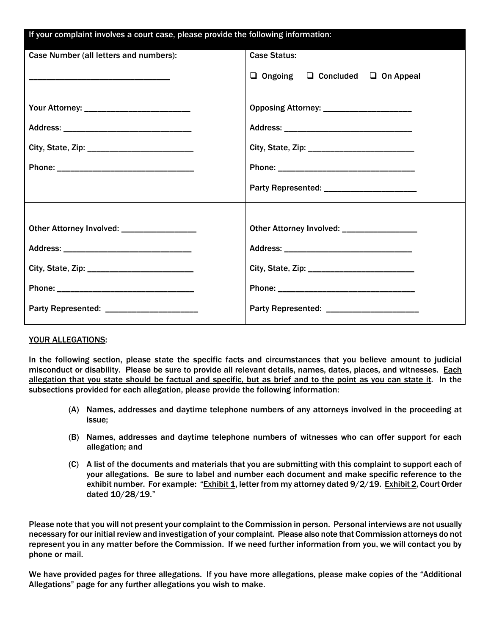| If your complaint involves a court case, please provide the following information: |                                                  |  |  |  |
|------------------------------------------------------------------------------------|--------------------------------------------------|--|--|--|
| Case Number (all letters and numbers):                                             | <b>Case Status:</b>                              |  |  |  |
|                                                                                    | $\Box$ Ongoing $\Box$ Concluded $\Box$ On Appeal |  |  |  |
| Your Attorney: ____________________________                                        | Opposing Attorney: _______________________       |  |  |  |
|                                                                                    |                                                  |  |  |  |
|                                                                                    |                                                  |  |  |  |
|                                                                                    |                                                  |  |  |  |
|                                                                                    | Party Represented: _______________________       |  |  |  |
|                                                                                    |                                                  |  |  |  |
| Other Attorney Involved: __________________                                        | Other Attorney Involved: __________________      |  |  |  |
|                                                                                    |                                                  |  |  |  |
|                                                                                    |                                                  |  |  |  |
|                                                                                    |                                                  |  |  |  |
|                                                                                    |                                                  |  |  |  |

## YOUR ALLEGATIONS:

In the following section, please state the specific facts and circumstances that you believe amount to judicial misconduct or disability. Please be sure to provide all relevant details, names, dates, places, and witnesses. Each allegation that you state should be factual and specific, but as brief and to the point as you can state it. In the subsections provided for each allegation, please provide the following information:

- (A) Names, addresses and daytime telephone numbers of any attorneys involved in the proceeding at issue;
- (B) Names, addresses and daytime telephone numbers of witnesses who can offer support for each allegation; and
- (C) A list of the documents and materials that you are submitting with this complaint to support each of your allegations. Be sure to label and number each document and make specific reference to the exhibit number. For example: "Exhibit 1, letter from my attorney dated 9/2/19. Exhibit 2, Court Order dated 10/28/19."

Please note that you will not present your complaint to the Commission in person. Personal interviews are not usually necessary for our initial review and investigation of your complaint. Please also note that Commission attorneys do not represent you in any matter before the Commission. If we need further information from you, we will contact you by phone or mail.

We have provided pages for three allegations. If you have more allegations, please make copies of the "Additional Allegations" page for any further allegations you wish to make.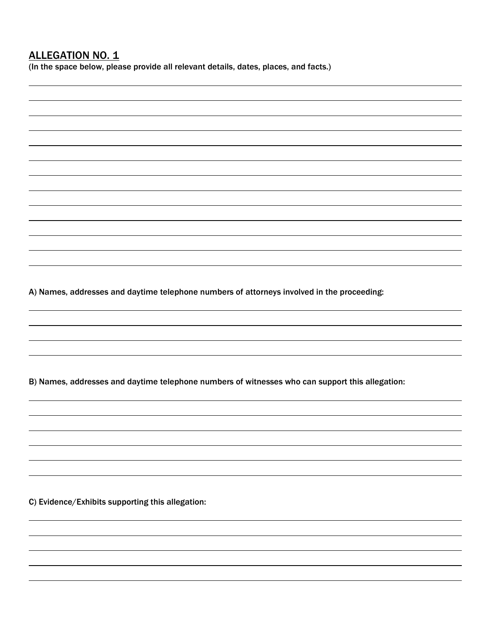A) Names, addresses and daytime telephone numbers of attorneys involved in the proceeding: B) Names, addresses and daytime telephone numbers of witnesses who can support this allegation: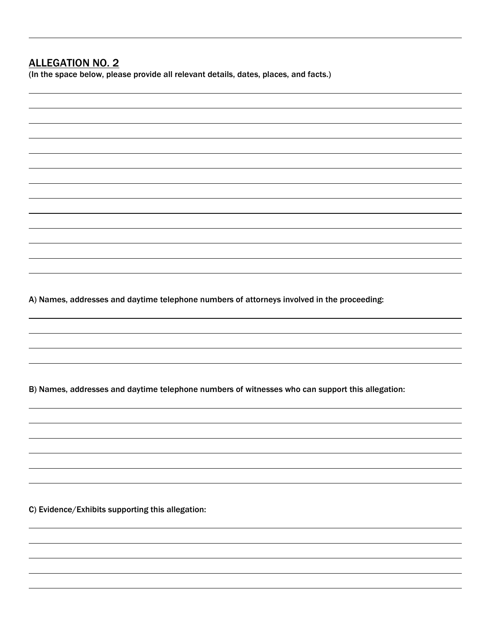## ALLEGATION NO. 2

(In the space below, please provide all relevant details, dates, places, and facts.)

A) Names, addresses and daytime telephone numbers of attorneys involved in the proceeding:

B) Names, addresses and daytime telephone numbers of witnesses who can support this allegation: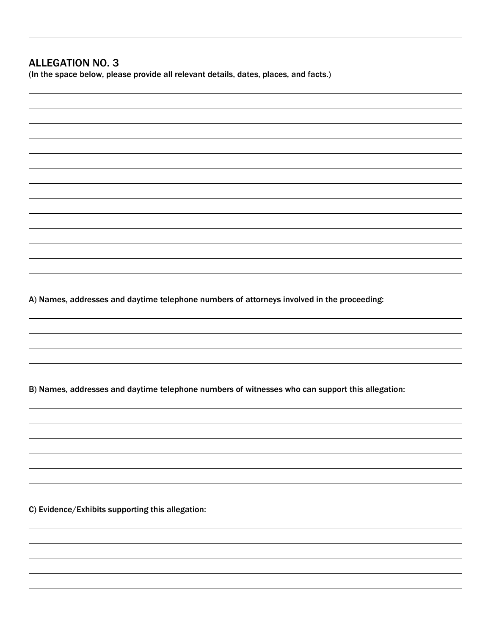## ALLEGATION NO. 3

(In the space below, please provide all relevant details, dates, places, and facts.)

A) Names, addresses and daytime telephone numbers of attorneys involved in the proceeding:

B) Names, addresses and daytime telephone numbers of witnesses who can support this allegation: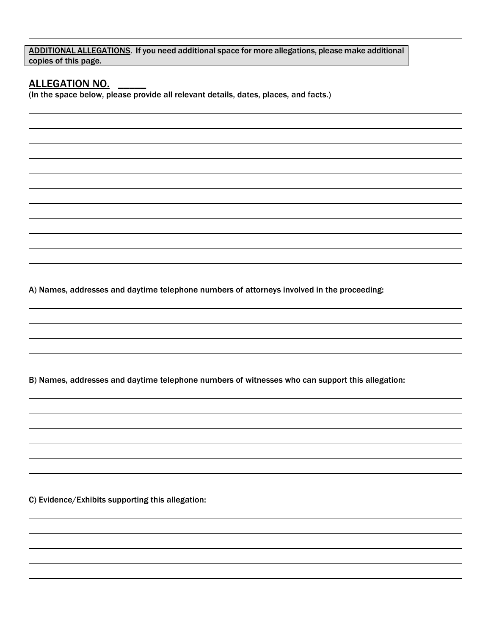ADDITIONAL ALLEGATIONS. If you need additional space for more allegations, please make additional copies of this page.

ALLEGATION NO. \_\_\_\_\_\_\_\_\_<br>(In the space below, please provide all relevant details, dates, places, and facts.)

A) Names, addresses and daytime telephone numbers of attorneys involved in the proceeding:

B) Names, addresses and daytime telephone numbers of witnesses who can support this allegation: